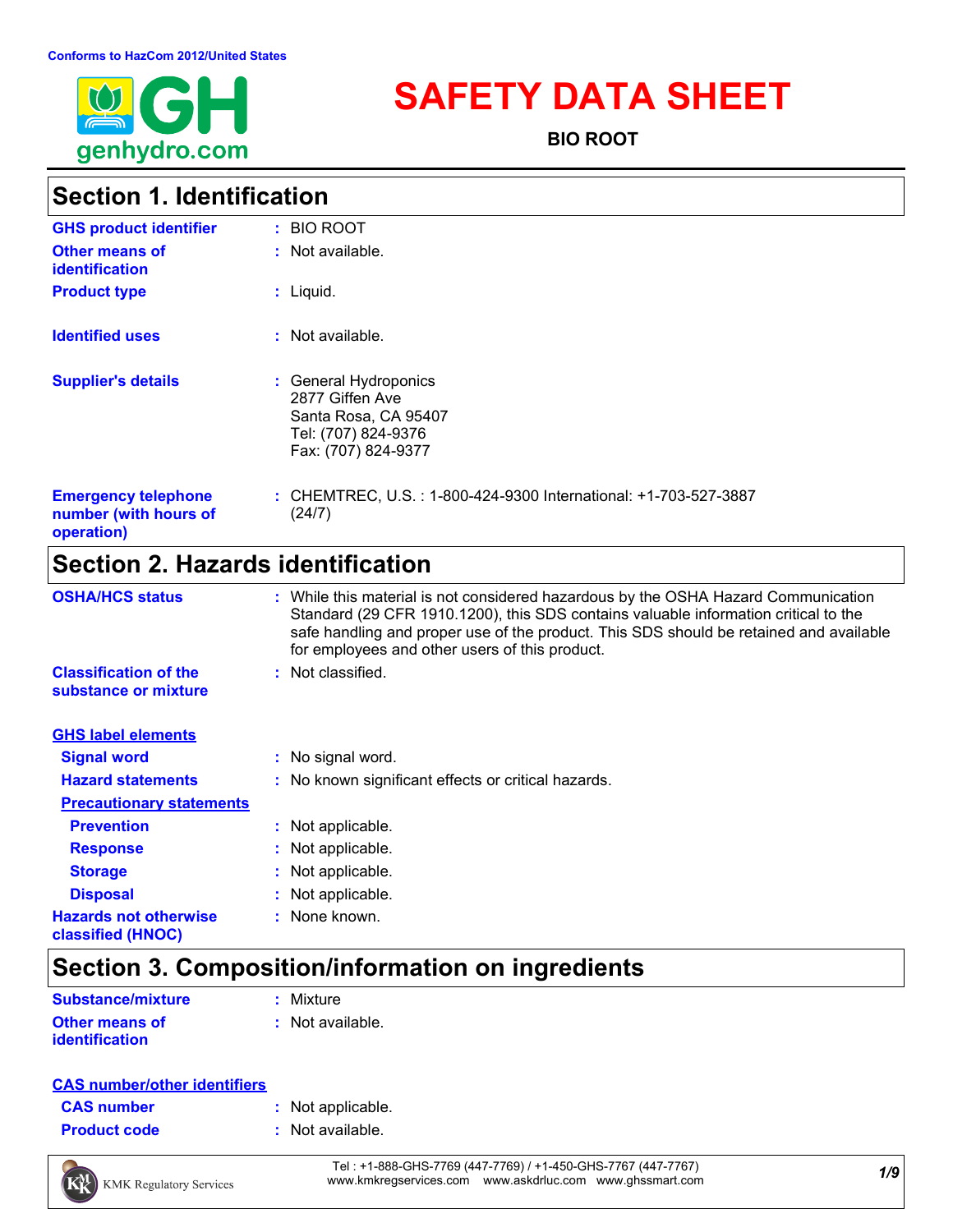

# **SAFETY DATA SHEET**

**BIO ROOT**

# **Section 1. Identification**

| <b>GHS product identifier</b>                                     | : BIO ROOT                                                                                                     |
|-------------------------------------------------------------------|----------------------------------------------------------------------------------------------------------------|
| <b>Other means of</b><br>identification                           | : Not available.                                                                                               |
| <b>Product type</b>                                               | $:$ Liquid.                                                                                                    |
| <b>Identified uses</b>                                            | $:$ Not available.                                                                                             |
| <b>Supplier's details</b>                                         | : General Hydroponics<br>2877 Giffen Ave<br>Santa Rosa, CA 95407<br>Tel: (707) 824-9376<br>Fax: (707) 824-9377 |
| <b>Emergency telephone</b><br>number (with hours of<br>operation) | : CHEMTREC, U.S.: 1-800-424-9300 International: +1-703-527-3887<br>(24/7)                                      |

# **Section 2. Hazards identification**

| <b>OSHA/HCS status</b>                               | : While this material is not considered hazardous by the OSHA Hazard Communication<br>Standard (29 CFR 1910.1200), this SDS contains valuable information critical to the<br>safe handling and proper use of the product. This SDS should be retained and available<br>for employees and other users of this product. |
|------------------------------------------------------|-----------------------------------------------------------------------------------------------------------------------------------------------------------------------------------------------------------------------------------------------------------------------------------------------------------------------|
| <b>Classification of the</b><br>substance or mixture | : Not classified.                                                                                                                                                                                                                                                                                                     |
| <b>GHS label elements</b>                            |                                                                                                                                                                                                                                                                                                                       |
| <b>Signal word</b>                                   | : No signal word.                                                                                                                                                                                                                                                                                                     |
| <b>Hazard statements</b>                             | : No known significant effects or critical hazards.                                                                                                                                                                                                                                                                   |
| <b>Precautionary statements</b>                      |                                                                                                                                                                                                                                                                                                                       |
| <b>Prevention</b>                                    | : Not applicable.                                                                                                                                                                                                                                                                                                     |
| <b>Response</b>                                      | : Not applicable.                                                                                                                                                                                                                                                                                                     |
| <b>Storage</b>                                       | : Not applicable.                                                                                                                                                                                                                                                                                                     |
| <b>Disposal</b>                                      | : Not applicable.                                                                                                                                                                                                                                                                                                     |
| <b>Hazards not otherwise</b><br>classified (HNOC)    | : None known.                                                                                                                                                                                                                                                                                                         |

# **Section 3. Composition/information on ingredients**

| <b>Substance/mixture</b> | : Mixture          |
|--------------------------|--------------------|
| <b>Other means of</b>    | $:$ Not available. |
| <i>identification</i>    |                    |

### **CAS number/other identifiers**

| <b>CAS number</b> |  |
|-------------------|--|
|                   |  |

- **:** Not applicable.
- **Product code :** Not available.



*1/9* Tel : +1-888-GHS-7769 (447-7769) / +1-450-GHS-7767 (447-7767) www.kmkregservices.com www.askdrluc.com www.ghssmart.com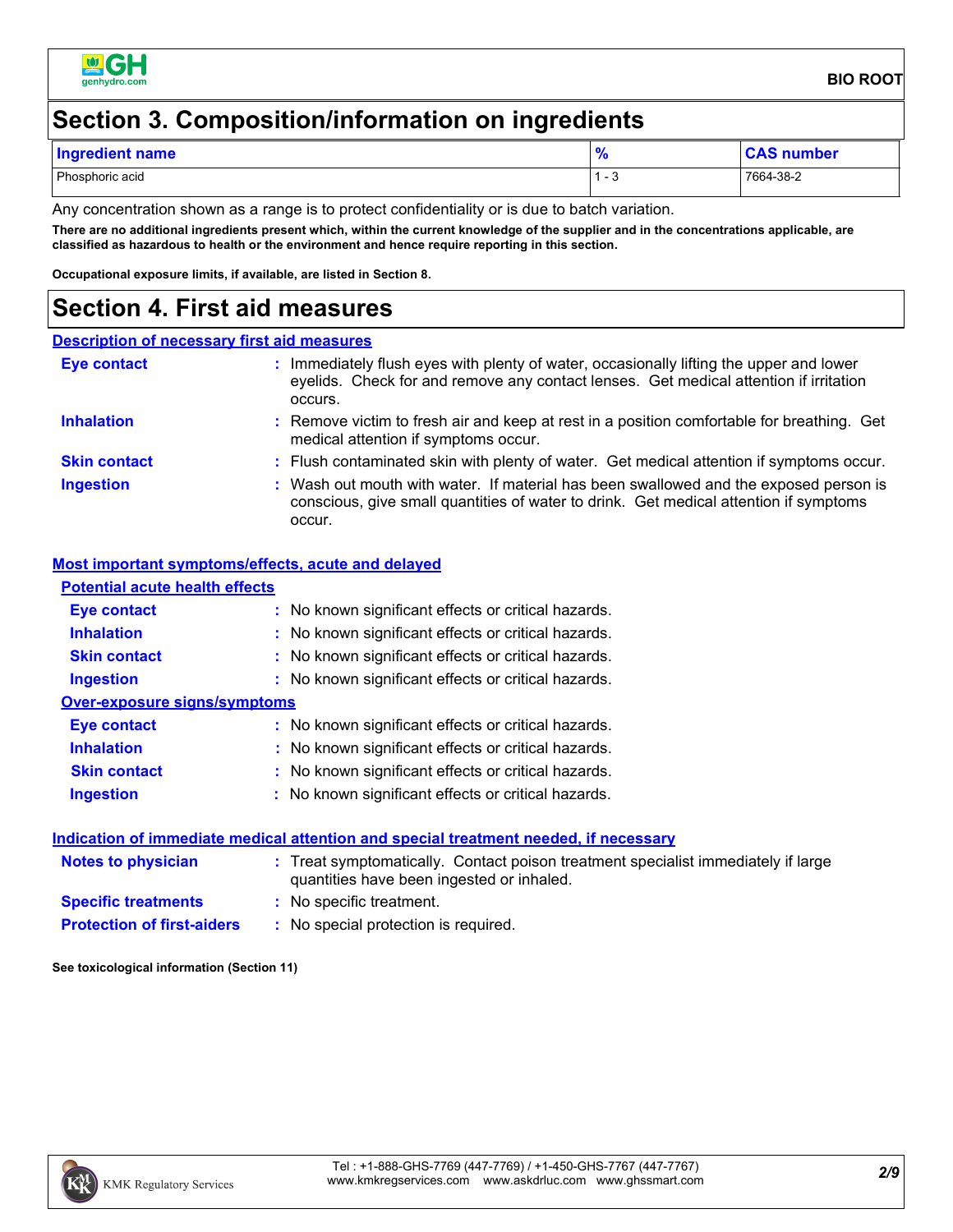

# **Section 3. Composition/information on ingredients**

| <b>Ingredient name</b> | ം | <b>CAS number</b> |
|------------------------|---|-------------------|
| Phosphoric acid        | . | 7664-38-2         |

Any concentration shown as a range is to protect confidentiality or is due to batch variation.

**There are no additional ingredients present which, within the current knowledge of the supplier and in the concentrations applicable, are classified as hazardous to health or the environment and hence require reporting in this section.**

**Occupational exposure limits, if available, are listed in Section 8.**

### **Section 4. First aid measures**

#### **Description of necessary first aid measures**

| <b>Eye contact</b>  | Immediately flush eyes with plenty of water, occasionally lifting the upper and lower<br>eyelids. Check for and remove any contact lenses. Get medical attention if irritation<br>occurs. |
|---------------------|-------------------------------------------------------------------------------------------------------------------------------------------------------------------------------------------|
| <b>Inhalation</b>   | : Remove victim to fresh air and keep at rest in a position comfortable for breathing. Get<br>medical attention if symptoms occur.                                                        |
| <b>Skin contact</b> | : Flush contaminated skin with plenty of water. Get medical attention if symptoms occur.                                                                                                  |
| <b>Ingestion</b>    | : Wash out mouth with water. If material has been swallowed and the exposed person is<br>conscious, give small quantities of water to drink. Get medical attention if symptoms<br>occur.  |

#### **Most important symptoms/effects, acute and delayed**

| <b>Potential acute health effects</b> |                                                                                                                                |
|---------------------------------------|--------------------------------------------------------------------------------------------------------------------------------|
| Eye contact                           | : No known significant effects or critical hazards.                                                                            |
| <b>Inhalation</b>                     | : No known significant effects or critical hazards.                                                                            |
| <b>Skin contact</b>                   | : No known significant effects or critical hazards.                                                                            |
| <b>Ingestion</b>                      | : No known significant effects or critical hazards.                                                                            |
| Over-exposure signs/symptoms          |                                                                                                                                |
| Eye contact                           | : No known significant effects or critical hazards.                                                                            |
| <b>Inhalation</b>                     | : No known significant effects or critical hazards.                                                                            |
| <b>Skin contact</b>                   | : No known significant effects or critical hazards.                                                                            |
| <b>Ingestion</b>                      | : No known significant effects or critical hazards.                                                                            |
|                                       | <u>Indication of immediate medical attention and special treatment needed, if necessary</u>                                    |
| Notes to physician                    | : Treat symptomatically. Contact poison treatment specialist immediately if large<br>quantities have been ingested or inhaled. |
| <b>Specific treatments</b>            | : No specific treatment.                                                                                                       |
| <b>Protection of first-aiders</b>     | : No special protection is required.                                                                                           |

**See toxicological information (Section 11)**

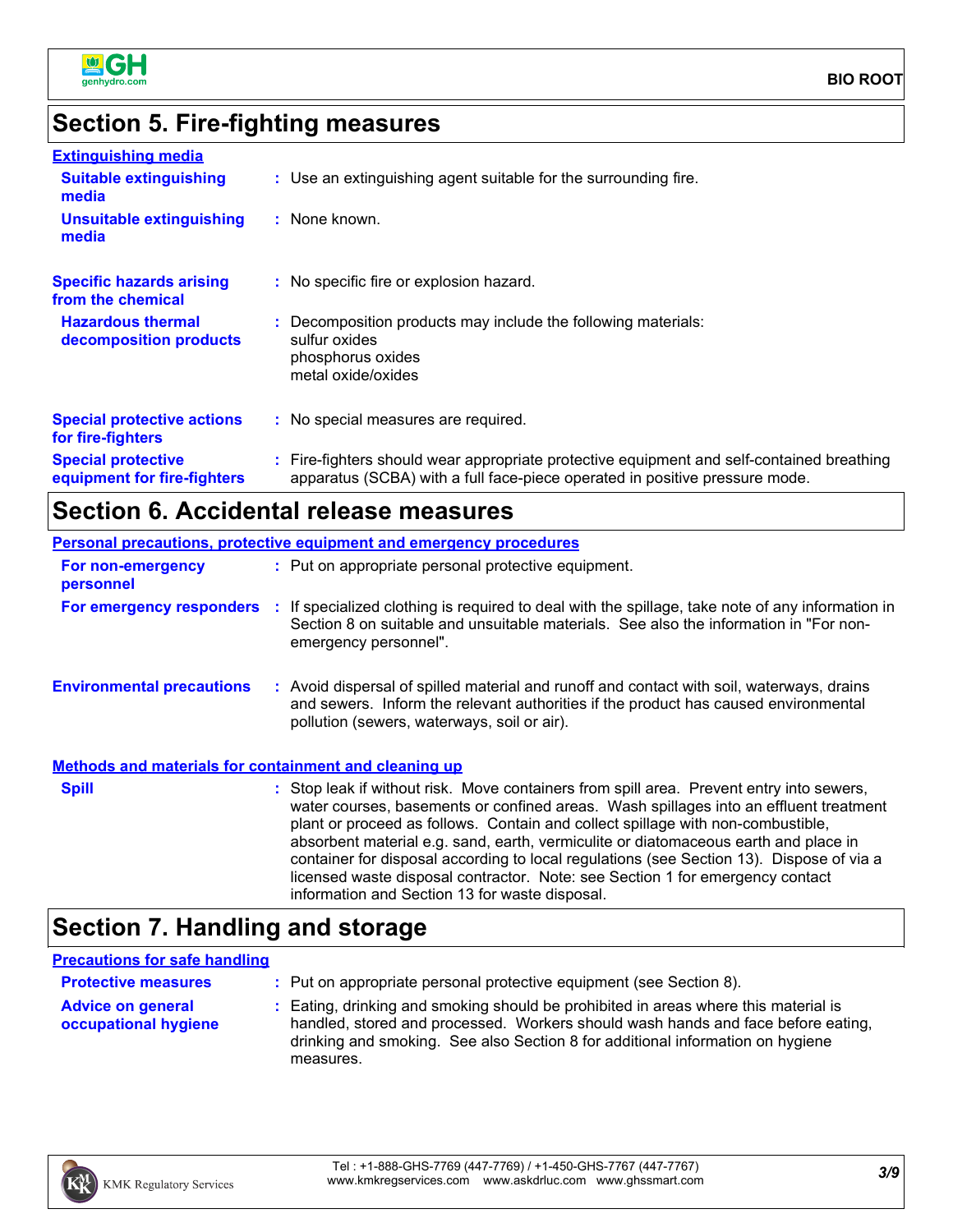

### **Section 5. Fire-fighting measures**

| <b>Extinguishing media</b>                               |                                                                                                                                                                          |
|----------------------------------------------------------|--------------------------------------------------------------------------------------------------------------------------------------------------------------------------|
| <b>Suitable extinguishing</b><br>media                   | : Use an extinguishing agent suitable for the surrounding fire.                                                                                                          |
| <b>Unsuitable extinguishing</b><br>media                 | : None known.                                                                                                                                                            |
| <b>Specific hazards arising</b><br>from the chemical     | : No specific fire or explosion hazard.                                                                                                                                  |
| <b>Hazardous thermal</b><br>decomposition products       | : Decomposition products may include the following materials:<br>sulfur oxides<br>phosphorus oxides<br>metal oxide/oxides                                                |
| <b>Special protective actions</b><br>for fire-fighters   | : No special measures are required.                                                                                                                                      |
| <b>Special protective</b><br>equipment for fire-fighters | : Fire-fighters should wear appropriate protective equipment and self-contained breathing<br>apparatus (SCBA) with a full face-piece operated in positive pressure mode. |

# **Section 6. Accidental release measures**

|                                                              | Personal precautions, protective equipment and emergency procedures                                                                                                                                                                                                                                                                                                                                                                                     |
|--------------------------------------------------------------|---------------------------------------------------------------------------------------------------------------------------------------------------------------------------------------------------------------------------------------------------------------------------------------------------------------------------------------------------------------------------------------------------------------------------------------------------------|
| For non-emergency<br>personnel                               | : Put on appropriate personal protective equipment.                                                                                                                                                                                                                                                                                                                                                                                                     |
|                                                              | For emergency responders : If specialized clothing is required to deal with the spillage, take note of any information in<br>Section 8 on suitable and unsuitable materials. See also the information in "For non-<br>emergency personnel".                                                                                                                                                                                                             |
| <b>Environmental precautions</b>                             | : Avoid dispersal of spilled material and runoff and contact with soil, waterways, drains<br>and sewers. Inform the relevant authorities if the product has caused environmental<br>pollution (sewers, waterways, soil or air).                                                                                                                                                                                                                         |
| <b>Methods and materials for containment and cleaning up</b> |                                                                                                                                                                                                                                                                                                                                                                                                                                                         |
| <b>Spill</b>                                                 | : Stop leak if without risk. Move containers from spill area. Prevent entry into sewers,<br>water courses, basements or confined areas. Wash spillages into an effluent treatment<br>plant or proceed as follows. Contain and collect spillage with non-combustible,<br>absorbent material e.g. sand, earth, vermiculite or diatomaceous earth and place in<br>container for disposal according to local regulations (see Section 13). Dispose of via a |

### **Section 7. Handling and storage**

### **Precautions for safe handling**

| <b>Protective measures</b>                       | : Put on appropriate personal protective equipment (see Section 8).                                                                                                                                                                                                    |
|--------------------------------------------------|------------------------------------------------------------------------------------------------------------------------------------------------------------------------------------------------------------------------------------------------------------------------|
| <b>Advice on general</b><br>occupational hygiene | : Eating, drinking and smoking should be prohibited in areas where this material is<br>handled, stored and processed. Workers should wash hands and face before eating,<br>drinking and smoking. See also Section 8 for additional information on hygiene<br>measures. |

information and Section 13 for waste disposal.

licensed waste disposal contractor. Note: see Section 1 for emergency contact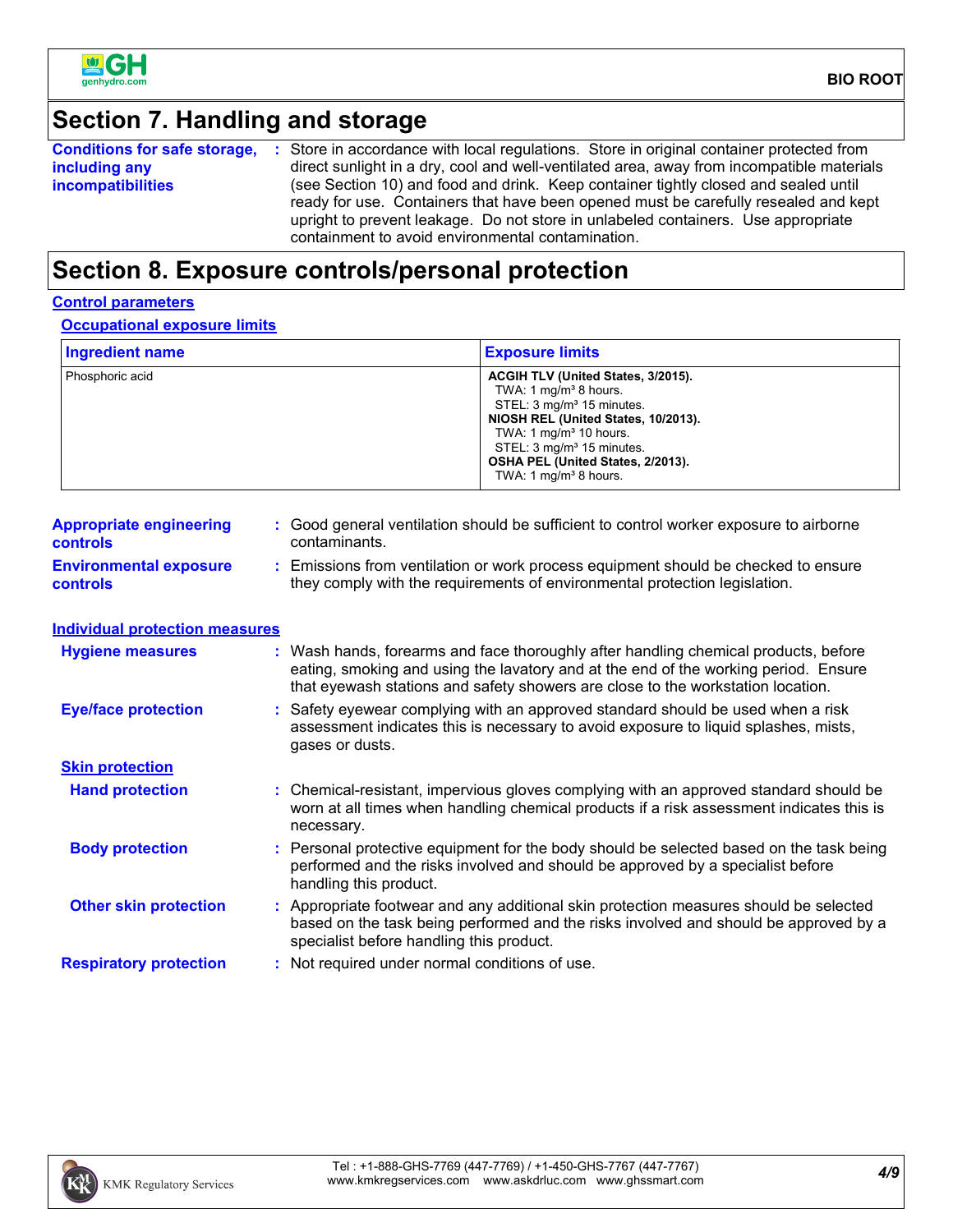

# **Section 7. Handling and storage**

|                          | <b>Conditions for safe storage, :</b> Store in accordance with local regulations. Store in original container protected from |
|--------------------------|------------------------------------------------------------------------------------------------------------------------------|
| including any            | direct sunlight in a dry, cool and well-ventilated area, away from incompatible materials                                    |
| <b>incompatibilities</b> | (see Section 10) and food and drink. Keep container tightly closed and sealed until                                          |
|                          | ready for use. Containers that have been opened must be carefully resealed and kept                                          |
|                          | upright to prevent leakage. Do not store in unlabeled containers. Use appropriate                                            |
|                          | containment to avoid environmental contamination.                                                                            |

### **Section 8. Exposure controls/personal protection**

#### **Control parameters**

**Occupational exposure limits**

| <b>Ingredient name</b> | <b>Exposure limits</b>                                                                                                                                                                                                                                                             |
|------------------------|------------------------------------------------------------------------------------------------------------------------------------------------------------------------------------------------------------------------------------------------------------------------------------|
| Phosphoric acid        | ACGIH TLV (United States, 3/2015).<br>TWA: 1 $mg/m3$ 8 hours.<br>STEL: 3 mg/m <sup>3</sup> 15 minutes.<br>NIOSH REL (United States, 10/2013).<br>TWA: 1 $mq/m3$ 10 hours.<br>STEL: 3 mg/m <sup>3</sup> 15 minutes.<br>OSHA PEL (United States, 2/2013).<br>TWA: 1 $mq/m3$ 8 hours. |

| <b>Appropriate engineering</b><br><b>controls</b> | : Good general ventilation should be sufficient to control worker exposure to airborne<br>contaminants.                                                        |
|---------------------------------------------------|----------------------------------------------------------------------------------------------------------------------------------------------------------------|
| <b>Environmental exposure</b><br><b>controls</b>  | Emissions from ventilation or work process equipment should be checked to ensure<br>they comply with the requirements of environmental protection legislation. |

| <b>Individual protection measures</b> |                                                                                                                                                                                                                                                               |
|---------------------------------------|---------------------------------------------------------------------------------------------------------------------------------------------------------------------------------------------------------------------------------------------------------------|
| <b>Hygiene measures</b>               | : Wash hands, forearms and face thoroughly after handling chemical products, before<br>eating, smoking and using the lavatory and at the end of the working period. Ensure<br>that eyewash stations and safety showers are close to the workstation location. |
| <b>Eye/face protection</b>            | : Safety eyewear complying with an approved standard should be used when a risk<br>assessment indicates this is necessary to avoid exposure to liquid splashes, mists,<br>gases or dusts.                                                                     |
| <b>Skin protection</b>                |                                                                                                                                                                                                                                                               |
| <b>Hand protection</b>                | : Chemical-resistant, impervious gloves complying with an approved standard should be<br>worn at all times when handling chemical products if a risk assessment indicates this is<br>necessary.                                                               |
| <b>Body protection</b>                | : Personal protective equipment for the body should be selected based on the task being<br>performed and the risks involved and should be approved by a specialist before<br>handling this product.                                                           |
| <b>Other skin protection</b>          | : Appropriate footwear and any additional skin protection measures should be selected<br>based on the task being performed and the risks involved and should be approved by a<br>specialist before handling this product.                                     |
| <b>Respiratory protection</b>         | : Not required under normal conditions of use.                                                                                                                                                                                                                |

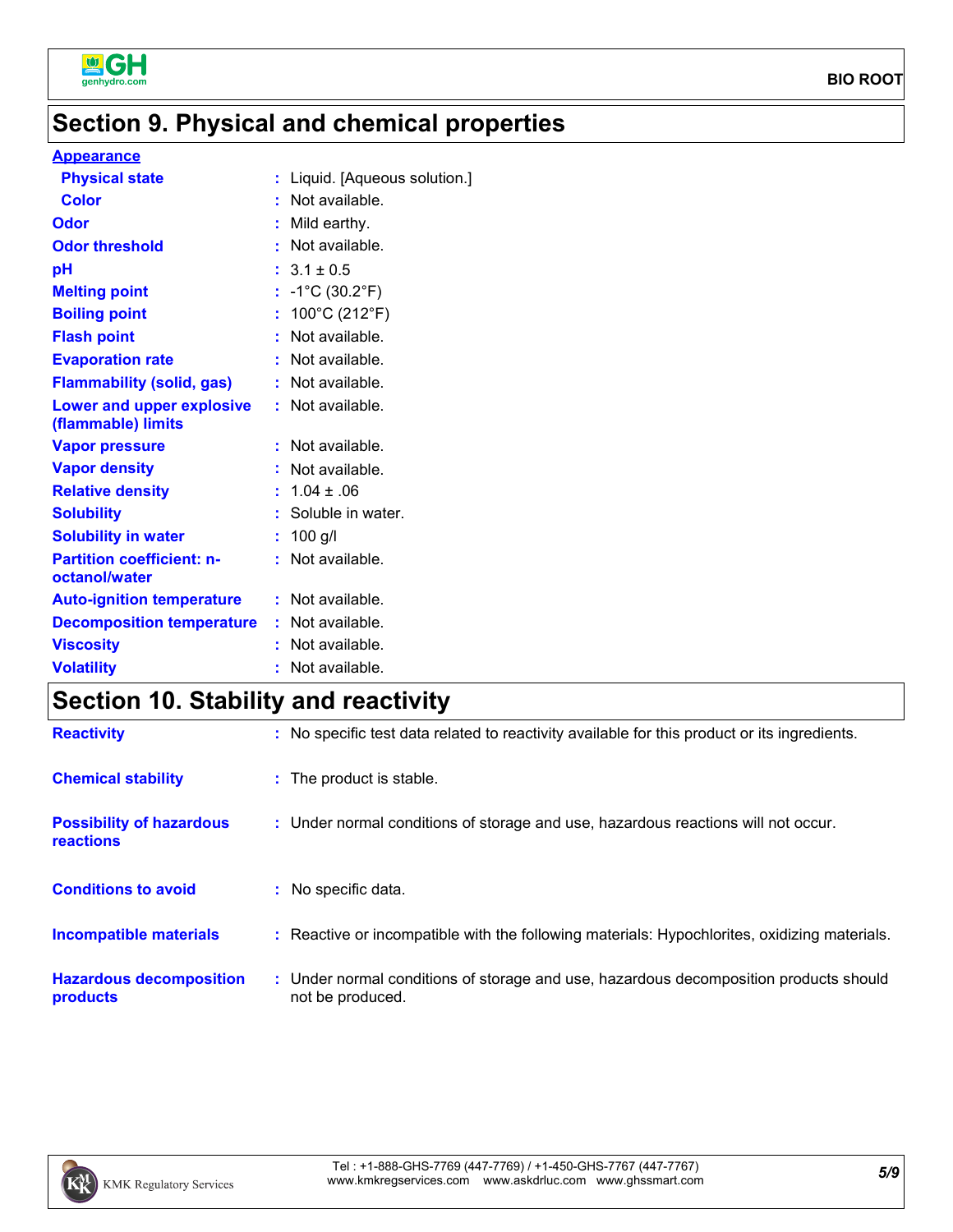

# **Section 9. Physical and chemical properties**

### **Appearance**

| <b>Physical state</b>                             | : Liquid. [Aqueous solution.]        |
|---------------------------------------------------|--------------------------------------|
| <b>Color</b>                                      | $:$ Not available.                   |
| Odor                                              | : Mild earthy.                       |
| <b>Odor threshold</b>                             | $:$ Not available.                   |
| pH                                                | $: 3.1 \pm 0.5$                      |
| <b>Melting point</b>                              | : $-1^{\circ}C(30.2^{\circ}F)$       |
| <b>Boiling point</b>                              | : $100^{\circ}$ C (212 $^{\circ}$ F) |
| <b>Flash point</b>                                | : Not available.                     |
| <b>Evaporation rate</b>                           | : Not available.                     |
| <b>Flammability (solid, gas)</b>                  | : Not available.                     |
| Lower and upper explosive<br>(flammable) limits   | : Not available.                     |
| <b>Vapor pressure</b>                             | : Not available.                     |
| <b>Vapor density</b>                              | : Not available.                     |
| <b>Relative density</b>                           | $: 1.04 \pm .06$                     |
| <b>Solubility</b>                                 | : Soluble in water.                  |
| <b>Solubility in water</b>                        | : $100$ g/l                          |
| <b>Partition coefficient: n-</b><br>octanol/water | : Not available.                     |
| <b>Auto-ignition temperature</b>                  | : Not available.                     |
| <b>Decomposition temperature</b>                  | : Not available.                     |
| <b>Viscosity</b>                                  | : Not available.                     |
| <b>Volatility</b>                                 | : Not available.                     |

# **Section 10. Stability and reactivity**

| <b>Reactivity</b>                                   | : No specific test data related to reactivity available for this product or its ingredients.              |
|-----------------------------------------------------|-----------------------------------------------------------------------------------------------------------|
| <b>Chemical stability</b>                           | : The product is stable.                                                                                  |
| <b>Possibility of hazardous</b><br><b>reactions</b> | : Under normal conditions of storage and use, hazardous reactions will not occur.                         |
| <b>Conditions to avoid</b>                          | : No specific data.                                                                                       |
| <b>Incompatible materials</b>                       | : Reactive or incompatible with the following materials: Hypochlorites, oxidizing materials.              |
| <b>Hazardous decomposition</b><br>products          | : Under normal conditions of storage and use, hazardous decomposition products should<br>not be produced. |

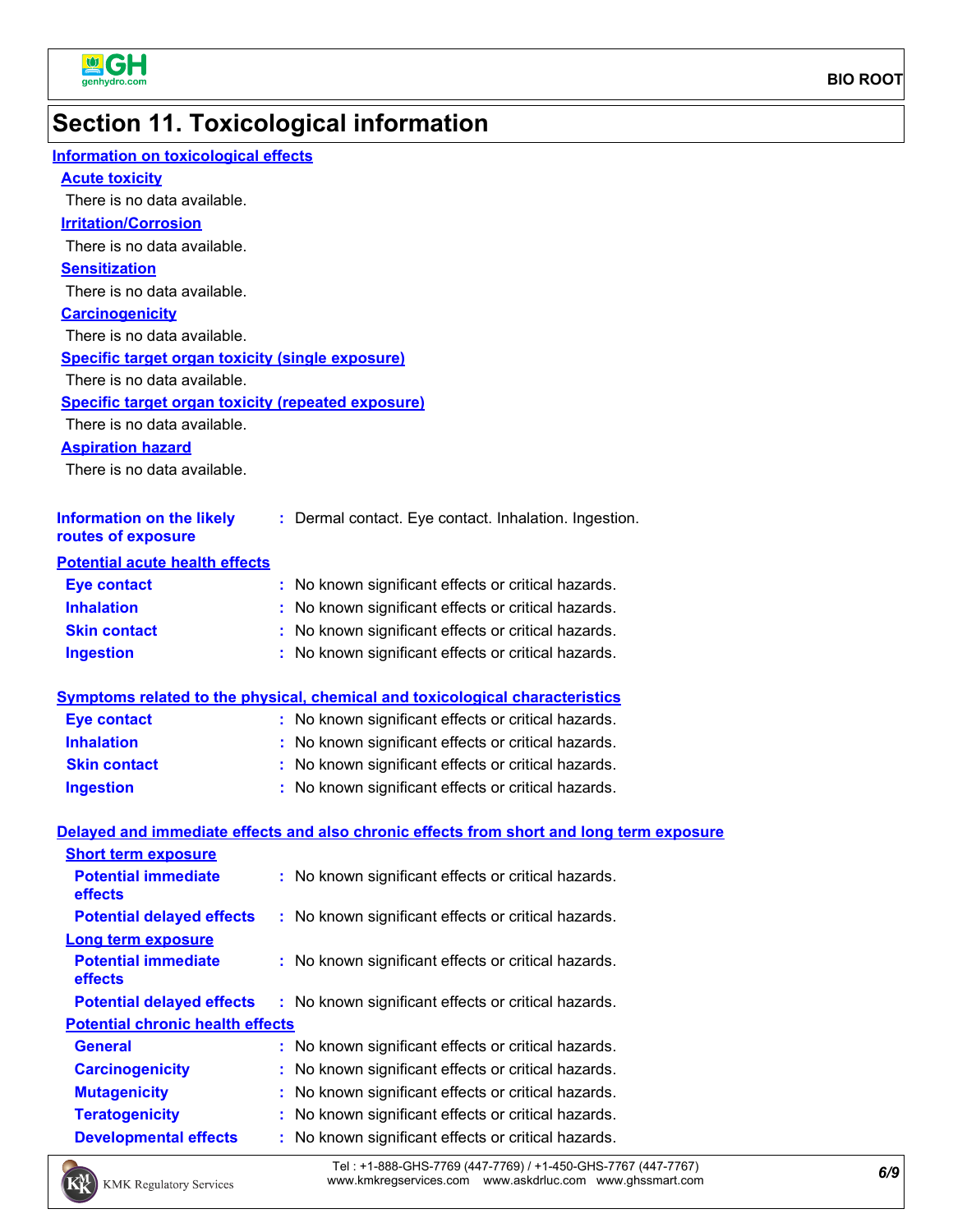

# **Section 11. Toxicological information**

| <b>Information on toxicological effects</b>               |                                                                                          |
|-----------------------------------------------------------|------------------------------------------------------------------------------------------|
| <b>Acute toxicity</b>                                     |                                                                                          |
| There is no data available.                               |                                                                                          |
| <b>Irritation/Corrosion</b>                               |                                                                                          |
| There is no data available.                               |                                                                                          |
| <b>Sensitization</b>                                      |                                                                                          |
| There is no data available.                               |                                                                                          |
| <b>Carcinogenicity</b>                                    |                                                                                          |
| There is no data available.                               |                                                                                          |
| <b>Specific target organ toxicity (single exposure)</b>   |                                                                                          |
| There is no data available.                               |                                                                                          |
| <b>Specific target organ toxicity (repeated exposure)</b> |                                                                                          |
| There is no data available.                               |                                                                                          |
| <b>Aspiration hazard</b>                                  |                                                                                          |
| There is no data available.                               |                                                                                          |
|                                                           |                                                                                          |
| <b>Information on the likely</b>                          | : Dermal contact. Eye contact. Inhalation. Ingestion.                                    |
| routes of exposure                                        |                                                                                          |
| <b>Potential acute health effects</b>                     |                                                                                          |
| <b>Eye contact</b>                                        | : No known significant effects or critical hazards.                                      |
| <b>Inhalation</b>                                         | : No known significant effects or critical hazards.                                      |
| <b>Skin contact</b>                                       | : No known significant effects or critical hazards.                                      |
| <b>Ingestion</b>                                          | : No known significant effects or critical hazards.                                      |
|                                                           |                                                                                          |
|                                                           | <b>Symptoms related to the physical, chemical and toxicological characteristics</b>      |
| <b>Eye contact</b>                                        | : No known significant effects or critical hazards.                                      |
| <b>Inhalation</b>                                         | : No known significant effects or critical hazards.                                      |
| <b>Skin contact</b>                                       | : No known significant effects or critical hazards.                                      |
| <b>Ingestion</b>                                          | : No known significant effects or critical hazards.                                      |
|                                                           |                                                                                          |
|                                                           | Delayed and immediate effects and also chronic effects from short and long term exposure |
| <b>Short term exposure</b>                                |                                                                                          |
| <b>Potential immediate</b>                                | : No known significant effects or critical hazards.                                      |
| effects                                                   |                                                                                          |
| <b>Potential delayed effects</b>                          | : No known significant effects or critical hazards.                                      |
| Long term exposure                                        |                                                                                          |
| <b>Potential immediate</b><br>effects                     | No known significant effects or critical hazards.                                        |
| <b>Potential delayed effects</b>                          | No known significant effects or critical hazards.                                        |
| <b>Potential chronic health effects</b>                   |                                                                                          |
| <b>General</b>                                            | No known significant effects or critical hazards.<br>÷.                                  |
| <b>Carcinogenicity</b>                                    | No known significant effects or critical hazards.                                        |
| <b>Mutagenicity</b>                                       | No known significant effects or critical hazards.                                        |
| <b>Teratogenicity</b>                                     | No known significant effects or critical hazards.                                        |
| <b>Developmental effects</b>                              | No known significant effects or critical hazards.                                        |
|                                                           |                                                                                          |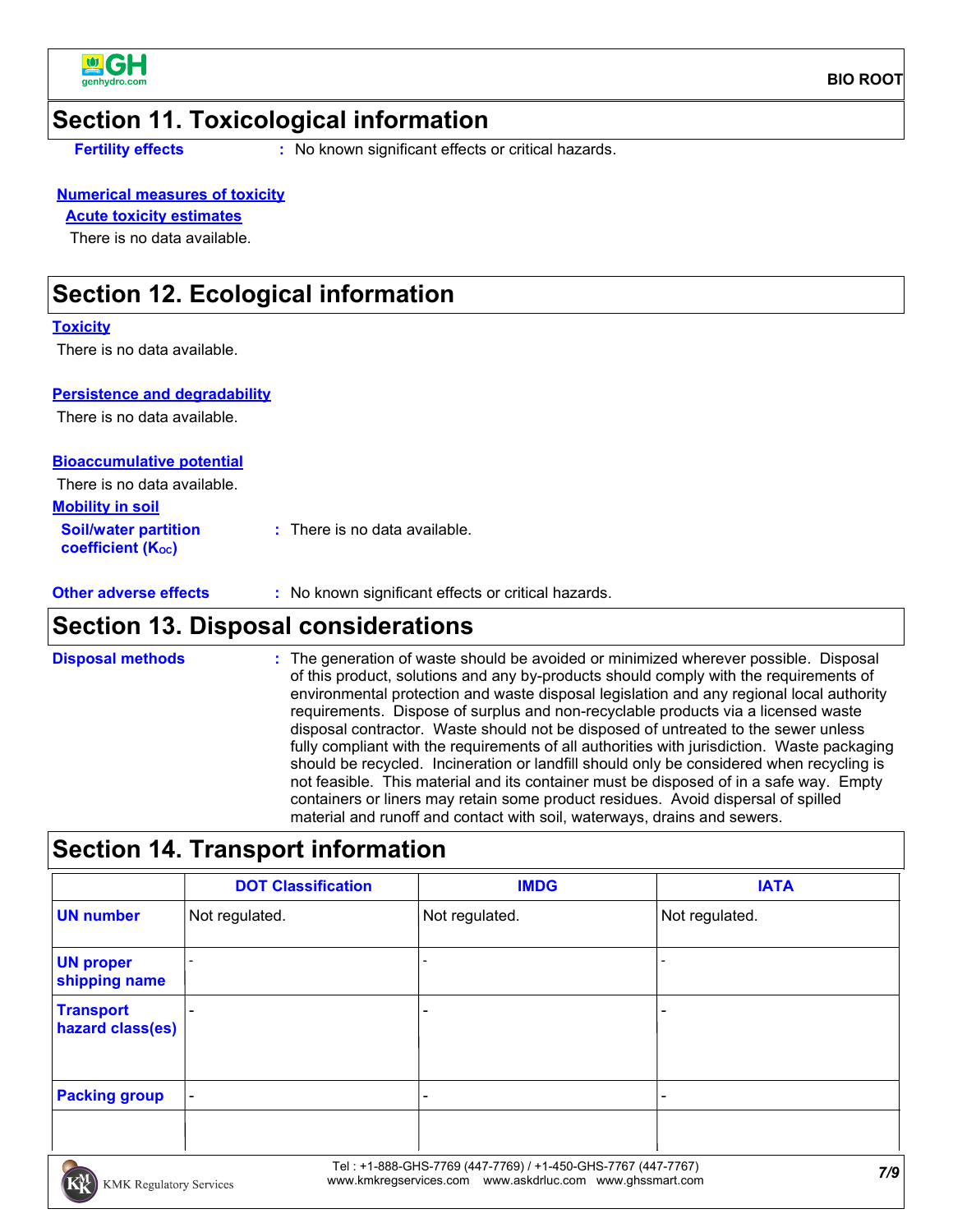

### **Section 11. Toxicological information**

**Fertility effects :** No known significant effects or critical hazards.

#### **Numerical measures of toxicity**

### **Acute toxicity estimates**

There is no data available.

### **Section 12. Ecological information**

#### **Toxicity**

There is no data available.

#### **Persistence and degradability**

There is no data available.

### **Bioaccumulative potential**

There is no data available.

| <b>Mobility in soil</b>                                 |                               |
|---------------------------------------------------------|-------------------------------|
| <b>Soil/water partition</b><br><b>coefficient (Koc)</b> | : There is no data available. |

**Other adverse effects** : No known significant effects or critical hazards.

### **Section 13. Disposal considerations**

The generation of waste should be avoided or minimized wherever possible. Disposal of this product, solutions and any by-products should comply with the requirements of environmental protection and waste disposal legislation and any regional local authority requirements. Dispose of surplus and non-recyclable products via a licensed waste disposal contractor. Waste should not be disposed of untreated to the sewer unless fully compliant with the requirements of all authorities with jurisdiction. Waste packaging should be recycled. Incineration or landfill should only be considered when recycling is not feasible. This material and its container must be disposed of in a safe way. Empty containers or liners may retain some product residues. Avoid dispersal of spilled material and runoff and contact with soil, waterways, drains and sewers. **Disposal methods :**

### **Section 14. Transport information**

|                                      | <b>DOT Classification</b> | <b>IMDG</b>     | <b>IATA</b>    |
|--------------------------------------|---------------------------|-----------------|----------------|
| <b>UN number</b>                     | Not regulated.            | Not regulated.  | Not regulated. |
| <b>UN proper</b><br>shipping name    |                           |                 |                |
| <b>Transport</b><br>hazard class(es) | $\overline{\phantom{0}}$  | $\qquad \qquad$ |                |
| <b>Packing group</b>                 | $\blacksquare$            | $\qquad \qquad$ |                |
|                                      |                           |                 |                |

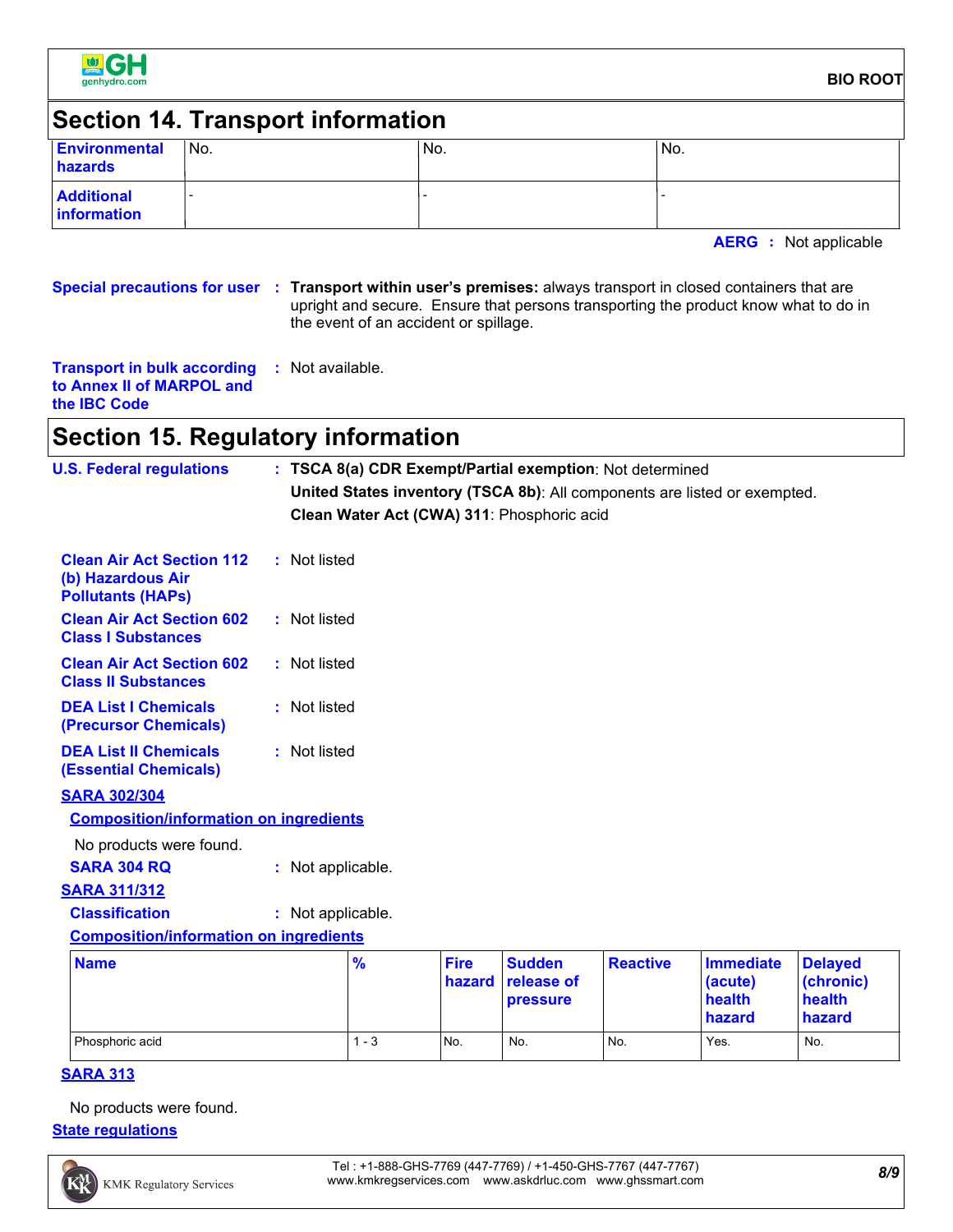

#### **BIO ROOT**

### **Section 14. Transport information**

| <b>Environmental</b><br>hazards         | IN <sub>o</sub> | 'No. | No. |
|-----------------------------------------|-----------------|------|-----|
| <b>Additional</b><br><b>Information</b> |                 |      |     |

**AERG :** Not applicable

**Special precautions for user Transport within user's premises:** always transport in closed containers that are **:** upright and secure. Ensure that persons transporting the product know what to do in the event of an accident or spillage.

| <b>Transport in bulk according : Not available.</b> |  |  |
|-----------------------------------------------------|--|--|
| to Annex II of MARPOL and                           |  |  |
| the <b>IBC</b> Code                                 |  |  |

# **Section 15. Regulatory information**

| <b>U.S. Federal regulations</b>                                                   |                   |               |                       |                                            | : TSCA 8(a) CDR Exempt/Partial exemption: Not determined |                                                                           |                                                 |
|-----------------------------------------------------------------------------------|-------------------|---------------|-----------------------|--------------------------------------------|----------------------------------------------------------|---------------------------------------------------------------------------|-------------------------------------------------|
|                                                                                   |                   |               |                       |                                            |                                                          | United States inventory (TSCA 8b): All components are listed or exempted. |                                                 |
|                                                                                   |                   |               |                       | Clean Water Act (CWA) 311: Phosphoric acid |                                                          |                                                                           |                                                 |
| <b>Clean Air Act Section 112</b><br>(b) Hazardous Air<br><b>Pollutants (HAPs)</b> | : Not listed      |               |                       |                                            |                                                          |                                                                           |                                                 |
| <b>Clean Air Act Section 602</b><br><b>Class I Substances</b>                     | : Not listed      |               |                       |                                            |                                                          |                                                                           |                                                 |
| <b>Clean Air Act Section 602</b><br><b>Class II Substances</b>                    | : Not listed      |               |                       |                                            |                                                          |                                                                           |                                                 |
| <b>DEA List I Chemicals</b><br>(Precursor Chemicals)                              | : Not listed      |               |                       |                                            |                                                          |                                                                           |                                                 |
| <b>DEA List II Chemicals</b><br><b>(Essential Chemicals)</b>                      | : Not listed      |               |                       |                                            |                                                          |                                                                           |                                                 |
| <b>SARA 302/304</b>                                                               |                   |               |                       |                                            |                                                          |                                                                           |                                                 |
| <b>Composition/information on ingredients</b>                                     |                   |               |                       |                                            |                                                          |                                                                           |                                                 |
| No products were found.                                                           |                   |               |                       |                                            |                                                          |                                                                           |                                                 |
| <b>SARA 304 RQ</b>                                                                | : Not applicable. |               |                       |                                            |                                                          |                                                                           |                                                 |
| <b>SARA 311/312</b>                                                               |                   |               |                       |                                            |                                                          |                                                                           |                                                 |
| <b>Classification</b>                                                             | : Not applicable. |               |                       |                                            |                                                          |                                                                           |                                                 |
| <b>Composition/information on ingredients</b>                                     |                   |               |                       |                                            |                                                          |                                                                           |                                                 |
| <b>Name</b>                                                                       |                   | $\frac{9}{6}$ | <b>Fire</b><br>hazard | <b>Sudden</b><br>release of<br>pressure    | <b>Reactive</b>                                          | <b>Immediate</b><br>(acute)<br><b>health</b><br>hazard                    | <b>Delayed</b><br>(chronic)<br>health<br>hazard |

Phosphoric acid **1 - 3** No. No. No. No. Yes. No. No.

#### **SARA 313**

No products were found.

#### **State regulations**